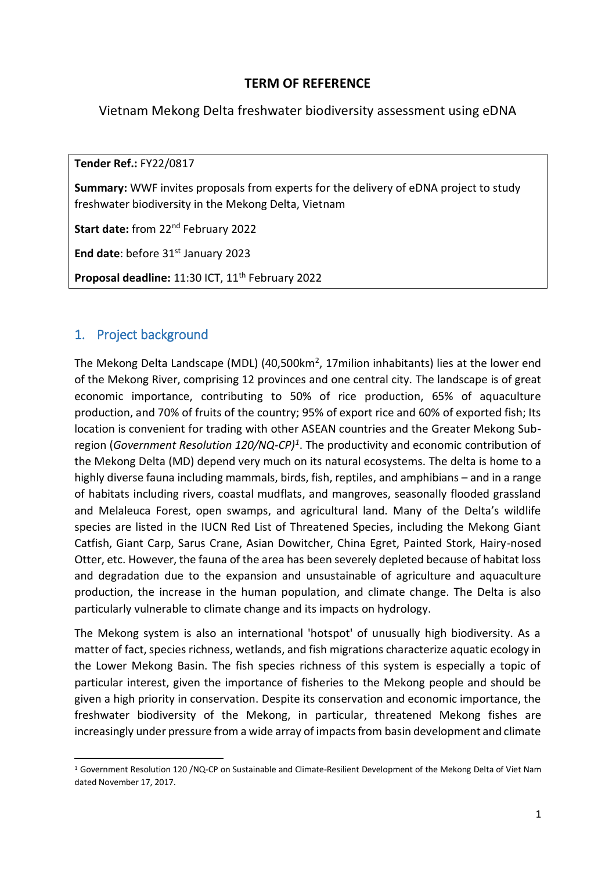## **TERM OF REFERENCE**

Vietnam Mekong Delta freshwater biodiversity assessment using eDNA

**Tender Ref.:** FY22/0817

**Summary:** WWF invites proposals from experts for the delivery of eDNA project to study freshwater biodiversity in the Mekong Delta, Vietnam

**Start date:** from 22nd February 2022

End date: before 31<sup>st</sup> January 2023

Proposal deadline: 11:30 ICT, 11<sup>th</sup> February 2022

## 1. Project background

**.** 

The Mekong Delta Landscape (MDL) (40,500km<sup>2</sup>, 17milion inhabitants) lies at the lower end of the Mekong River, comprising 12 provinces and one central city*.* The landscape is of great economic importance, contributing to 50% of rice production, 65% of aquaculture production, and 70% of fruits of the country; 95% of export rice and 60% of exported fish; Its location is convenient for trading with other ASEAN countries and the Greater Mekong Subregion (*Government Resolution 120/NQ-CP)<sup>1</sup>* . The productivity and economic contribution of the Mekong Delta (MD) depend very much on its natural ecosystems. The delta is home to a highly diverse fauna including mammals, birds, fish, reptiles, and amphibians – and in a range of habitats including rivers, coastal mudflats, and mangroves, seasonally flooded grassland and Melaleuca Forest, open swamps, and agricultural land. Many of the Delta's wildlife species are listed in the IUCN Red List of Threatened Species, including the Mekong Giant Catfish, Giant Carp, Sarus Crane, Asian Dowitcher, China Egret, Painted Stork, Hairy-nosed Otter, etc. However, the fauna of the area has been severely depleted because of habitat loss and degradation due to the expansion and unsustainable of agriculture and aquaculture production, the increase in the human population, and climate change. The Delta is also particularly vulnerable to climate change and its impacts on hydrology.

The Mekong system is also an international 'hotspot' of unusually high biodiversity. As a matter of fact, species richness, wetlands, and fish migrations characterize aquatic ecology in the Lower Mekong Basin. The fish species richness of this system is especially a topic of particular interest, given the importance of fisheries to the Mekong people and should be given a high priority in conservation. Despite its conservation and economic importance, the freshwater biodiversity of the Mekong, in particular, threatened Mekong fishes are increasingly under pressure from a wide array of impacts from basin development and climate

<sup>1</sup> Government Resolution 120 /NQ-CP on Sustainable and Climate-Resilient Development of the Mekong Delta of Viet Nam dated November 17, 2017.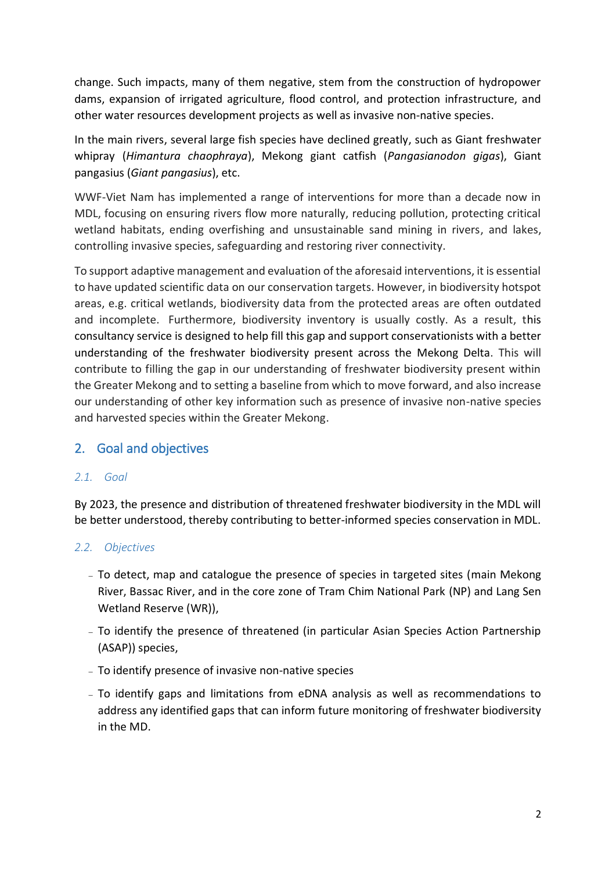change. Such impacts, many of them negative, stem from the construction of hydropower dams, expansion of irrigated agriculture, flood control, and protection infrastructure, and other water resources development projects as well as invasive non-native species.

In the main rivers, several large fish species have declined greatly, such as Giant freshwater whipray (*Himantura chaophraya*), Mekong giant catfish (*Pangasianodon gigas*), Giant pangasius (*Giant pangasius*), etc.

WWF-Viet Nam has implemented a range of interventions for more than a decade now in MDL, focusing on ensuring rivers flow more naturally, reducing pollution, protecting critical wetland habitats, ending overfishing and unsustainable sand mining in rivers, and lakes, controlling invasive species, safeguarding and restoring river connectivity.

To support adaptive management and evaluation of the aforesaid interventions, it is essential to have updated scientific data on our conservation targets. However, in biodiversity hotspot areas, e.g. critical wetlands, biodiversity data from the protected areas are often outdated and incomplete. Furthermore, biodiversity inventory is usually costly. As a result, this consultancy service is designed to help fill this gap and support conservationists with a better understanding of the freshwater biodiversity present across the Mekong Delta. This will contribute to filling the gap in our understanding of freshwater biodiversity present within the Greater Mekong and to setting a baseline from which to move forward, and also increase our understanding of other key information such as presence of invasive non-native species and harvested species within the Greater Mekong.

## 2. Goal and objectives

#### *2.1. Goal*

By 2023, the presence and distribution of threatened freshwater biodiversity in the MDL will be better understood, thereby contributing to better-informed species conservation in MDL.

#### *2.2. Objectives*

- To detect, map and catalogue the presence of species in targeted sites (main Mekong River, Bassac River, and in the core zone of Tram Chim National Park (NP) and Lang Sen Wetland Reserve (WR)),
- To identify the presence of threatened (in particular Asian Species Action Partnership (ASAP)) species,
- To identify presence of invasive non-native species
- To identify gaps and limitations from eDNA analysis as well as recommendations to address any identified gaps that can inform future monitoring of freshwater biodiversity in the MD.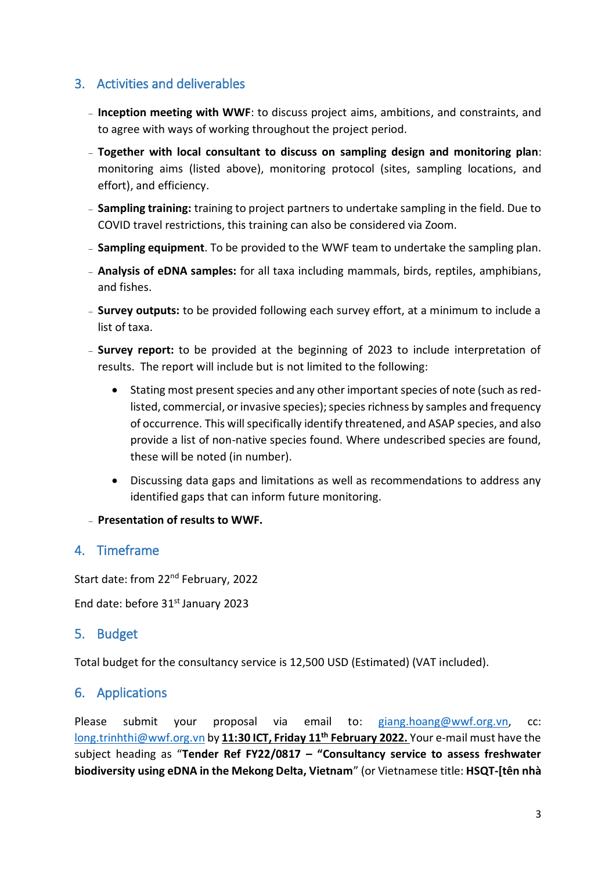# 3. Activities and deliverables

- **Inception meeting with WWF**: to discuss project aims, ambitions, and constraints, and to agree with ways of working throughout the project period.
- **Together with local consultant to discuss on sampling design and monitoring plan**: monitoring aims (listed above), monitoring protocol (sites, sampling locations, and effort), and efficiency.
- **Sampling training:** training to project partners to undertake sampling in the field. Due to COVID travel restrictions, this training can also be considered via Zoom.
- **Sampling equipment**. To be provided to the WWF team to undertake the sampling plan.
- **Analysis of eDNA samples:** for all taxa including mammals, birds, reptiles, amphibians, and fishes.
- **Survey outputs:** to be provided following each survey effort, at a minimum to include a list of taxa.
- **Survey report:** to be provided at the beginning of 2023 to include interpretation of results. The report will include but is not limited to the following:
	- Stating most present species and any other important species of note (such as redlisted, commercial, or invasive species); species richness by samples and frequency of occurrence. This will specifically identify threatened, and ASAP species, and also provide a list of non-native species found. Where undescribed species are found, these will be noted (in number).
	- Discussing data gaps and limitations as well as recommendations to address any identified gaps that can inform future monitoring.
- **Presentation of results to WWF.**

## 4. Timeframe

Start date: from 22<sup>nd</sup> February, 2022

End date: before 31<sup>st</sup> January 2023

## 5. Budget

Total budget for the consultancy service is 12,500 USD (Estimated) (VAT included).

## 6. Applications

Please submit your proposal via email to: [giang.hoang@wwf.org.vn,](mailto:giang.hoang@wwf.org.vn) cc: [long.trinhthi@wwf.org.vn](mailto:long.trinhthi@wwf.org.vn) by **11:30 ICT, Friday 11th February 2022.** Your e-mail must have the subject heading as "**Tender Ref FY22/0817 – "Consultancy service to assess freshwater biodiversity using eDNA in the Mekong Delta, Vietnam**" (or Vietnamese title: **HSQT-[tên nhà**